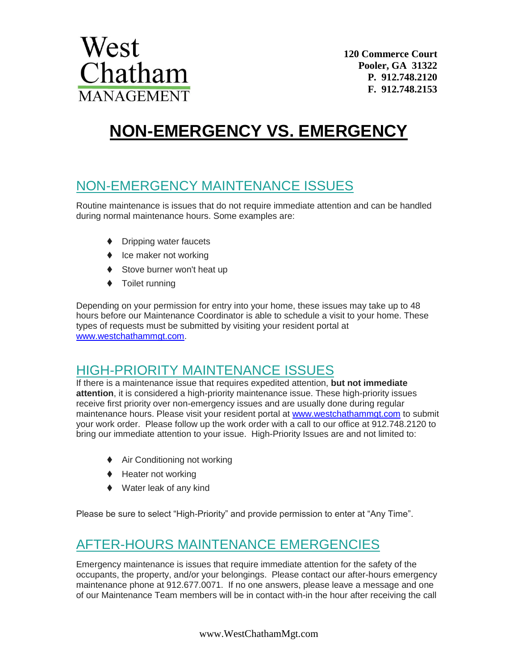

# **NON-EMERGENCY VS. EMERGENCY**

### NON-EMERGENCY MAINTENANCE ISSUES

Routine maintenance is issues that do not require immediate attention and can be handled during normal maintenance hours. Some examples are:

- ◆ Dripping water faucets
- $\bullet$  Ice maker not working
- ◆ Stove burner won't heat up
- ◆ Toilet running

Depending on your permission for entry into your home, these issues may take up to 48 hours before our Maintenance Coordinator is able to schedule a visit to your home. These types of requests must be submitted by visiting your resident portal at [www.westchathammgt.com.](http://www.westchathammgt.com/)

### HIGH-PRIORITY MAINTENANCE ISSUES

If there is a maintenance issue that requires expedited attention, **but not immediate attention**, it is considered a high-priority maintenance issue. These high-priority issues receive first priority over non-emergency issues and are usually done during regular maintenance hours. Please visit your resident portal at [www.westchathammgt.com](http://www.westchathammgt.com/) to submit your work order. Please follow up the work order with a call to our office at 912.748.2120 to bring our immediate attention to your issue. High-Priority Issues are and not limited to:

- ♦ Air Conditioning not working
- ♦ Heater not working
- Water leak of any kind

Please be sure to select "High-Priority" and provide permission to enter at "Any Time".

## AFTER-HOURS MAINTENANCE EMERGENCIES

Emergency maintenance is issues that require immediate attention for the safety of the occupants, the property, and/or your belongings. Please contact our after-hours emergency maintenance phone at 912.677.0071. If no one answers, please leave a message and one of our Maintenance Team members will be in contact with-in the hour after receiving the call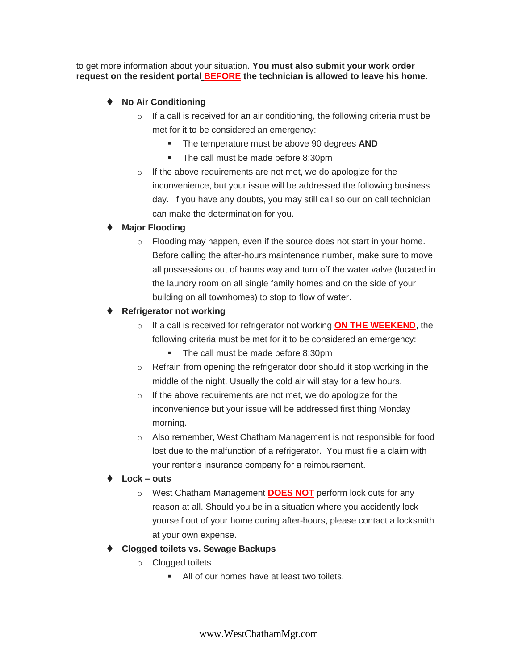to get more information about your situation. **You must also submit your work order request on the resident portal BEFORE the technician is allowed to leave his home.**

- ◆ **No Air Conditioning** 
	- $\circ$  If a call is received for an air conditioning, the following criteria must be met for it to be considered an emergency:
		- The temperature must be above 90 degrees **AND**
		- The call must be made before 8:30pm
	- o If the above requirements are not met, we do apologize for the inconvenience, but your issue will be addressed the following business day. If you have any doubts, you may still call so our on call technician can make the determination for you.

#### **Major Flooding**

o Flooding may happen, even if the source does not start in your home. Before calling the after-hours maintenance number, make sure to move all possessions out of harms way and turn off the water valve (located in the laundry room on all single family homes and on the side of your building on all townhomes) to stop to flow of water.

#### **Refrigerator not working**

- o If a call is received for refrigerator not working **ON THE WEEKEND**, the following criteria must be met for it to be considered an emergency:
	- The call must be made before 8:30pm
- o Refrain from opening the refrigerator door should it stop working in the middle of the night. Usually the cold air will stay for a few hours.
- o If the above requirements are not met, we do apologize for the inconvenience but your issue will be addressed first thing Monday morning.
- o Also remember, West Chatham Management is not responsible for food lost due to the malfunction of a refrigerator. You must file a claim with your renter's insurance company for a reimbursement.
- **Lock – outs**
	- o West Chatham Management **DOES NOT** perform lock outs for any reason at all. Should you be in a situation where you accidently lock yourself out of your home during after-hours, please contact a locksmith at your own expense.
- **Clogged toilets vs. Sewage Backups**
	- o Clogged toilets
		- All of our homes have at least two toilets.